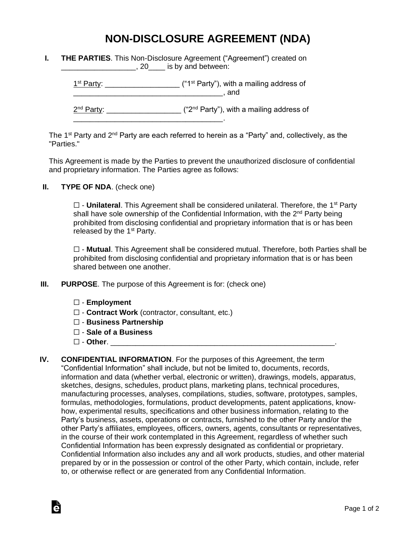## **NON-DISCLOSURE AGREEMENT (NDA)**

| <b>THE PARTIES.</b> This Non-Disclosure Agreement ("Agreement") created on |
|----------------------------------------------------------------------------|
| $, 20$ <sub>_____</sub> is by and between:                                 |

\_\_\_\_\_\_\_\_\_\_\_\_\_\_\_\_\_\_\_\_\_\_\_\_\_\_\_\_\_\_\_\_\_\_\_\_.

 $1<sup>st</sup> Party: _______$  $\blacksquare$  and

2<sup>nd</sup> Party: \_\_\_\_\_\_\_\_\_\_\_\_\_\_\_\_\_\_\_\_ ("2<sup>nd</sup> Party"), with a mailing address of

The 1<sup>st</sup> Party and 2<sup>nd</sup> Party are each referred to herein as a "Party" and, collectively, as the "Parties."

This Agreement is made by the Parties to prevent the unauthorized disclosure of confidential and proprietary information. The Parties agree as follows:

**II. TYPE OF NDA**. (check one)

□ - **Unilateral**. This Agreement shall be considered unilateral. Therefore, the 1<sup>st</sup> Party shall have sole ownership of the Confidential Information, with the 2<sup>nd</sup> Party being prohibited from disclosing confidential and proprietary information that is or has been released by the  $1<sup>st</sup>$  Party.

☐ - **Mutual**. This Agreement shall be considered mutual. Therefore, both Parties shall be prohibited from disclosing confidential and proprietary information that is or has been shared between one another.

- **III. PURPOSE**. The purpose of this Agreement is for: (check one)
	- ☐ **Employment**
	- ☐ **Contract Work** (contractor, consultant, etc.)
	- ☐ **Business Partnership**
	- ☐ **Sale of a Business**
	- ☐ **Other**. \_\_\_\_\_\_\_\_\_\_\_\_\_\_\_\_\_\_\_\_\_\_\_\_\_\_\_\_\_\_\_\_\_\_\_\_\_\_\_\_\_\_\_\_\_\_\_\_\_\_\_\_\_\_.

Ġ

**IV. CONFIDENTIAL INFORMATION**. For the purposes of this Agreement, the term "Confidential Information" shall include, but not be limited to, documents, records, information and data (whether verbal, electronic or written), drawings, models, apparatus, sketches, designs, schedules, product plans, marketing plans, technical procedures, manufacturing processes, analyses, compilations, studies, software, prototypes, samples, formulas, methodologies, formulations, product developments, patent applications, knowhow, experimental results, specifications and other business information, relating to the Party's business, assets, operations or contracts, furnished to the other Party and/or the other Party's affiliates, employees, officers, owners, agents, consultants or representatives, in the course of their work contemplated in this Agreement, regardless of whether such Confidential Information has been expressly designated as confidential or proprietary. Confidential Information also includes any and all work products, studies, and other material prepared by or in the possession or control of the other Party, which contain, include, refer to, or otherwise reflect or are generated from any Confidential Information.